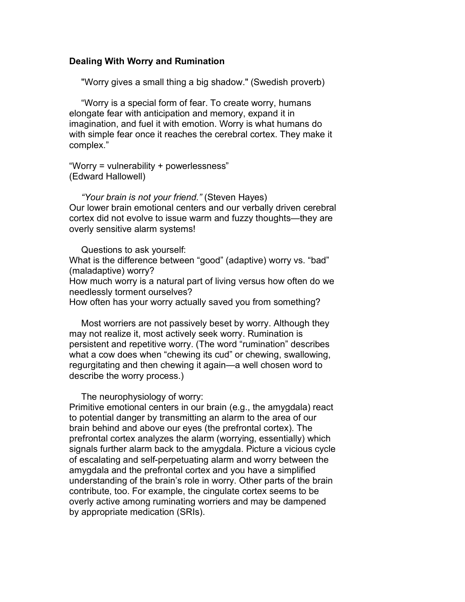### **Dealing With Worry and Rumination**

"Worry gives a small thing a big shadow." (Swedish proverb)

 "Worry is a special form of fear. To create worry, humans elongate fear with anticipation and memory, expand it in imagination, and fuel it with emotion. Worry is what humans do with simple fear once it reaches the cerebral cortex. They make it complex."

"Worry = vulnerability + powerlessness" (Edward Hallowell)

 *"Your brain is not your friend."* (Steven Hayes) Our lower brain emotional centers and our verbally driven cerebral cortex did not evolve to issue warm and fuzzy thoughts—they are overly sensitive alarm systems!

 Questions to ask yourself: What is the difference between "good" (adaptive) worry vs. "bad" (maladaptive) worry? How much worry is a natural part of living versus how often do we needlessly torment ourselves? How often has your worry actually saved you from something?

 Most worriers are not passively beset by worry. Although they may not realize it, most actively seek worry. Rumination is persistent and repetitive worry. (The word "rumination" describes what a cow does when "chewing its cud" or chewing, swallowing, regurgitating and then chewing it again—a well chosen word to describe the worry process.)

The neurophysiology of worry:

Primitive emotional centers in our brain (e.g., the amygdala) react to potential danger by transmitting an alarm to the area of our brain behind and above our eyes (the prefrontal cortex). The prefrontal cortex analyzes the alarm (worrying, essentially) which signals further alarm back to the amygdala. Picture a vicious cycle of escalating and self-perpetuating alarm and worry between the amygdala and the prefrontal cortex and you have a simplified understanding of the brain's role in worry. Other parts of the brain contribute, too. For example, the cingulate cortex seems to be overly active among ruminating worriers and may be dampened by appropriate medication (SRIs).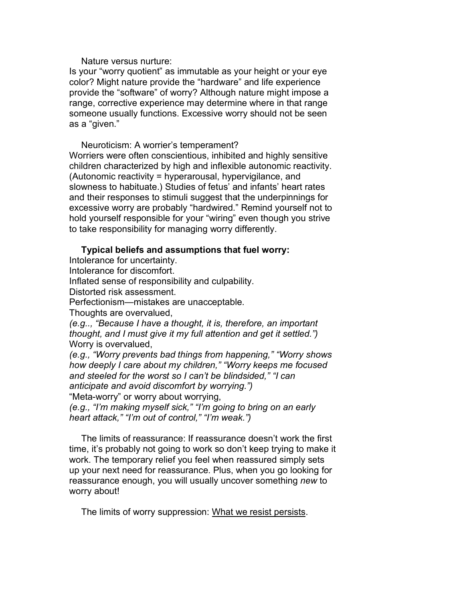Nature versus nurture:

Is your "worry quotient" as immutable as your height or your eye color? Might nature provide the "hardware" and life experience provide the "software" of worry? Although nature might impose a range, corrective experience may determine where in that range someone usually functions. Excessive worry should not be seen as a "given."

 Neuroticism: A worrier's temperament? Worriers were often conscientious, inhibited and highly sensitive children characterized by high and inflexible autonomic reactivity. (Autonomic reactivity = hyperarousal, hypervigilance, and slowness to habituate.) Studies of fetus' and infants' heart rates and their responses to stimuli suggest that the underpinnings for excessive worry are probably "hardwired." Remind yourself not to hold yourself responsible for your "wiring" even though you strive to take responsibility for managing worry differently.

### **Typical beliefs and assumptions that fuel worry:**

Intolerance for uncertainty.

Intolerance for discomfort.

Inflated sense of responsibility and culpability.

Distorted risk assessment.

Perfectionism—mistakes are unacceptable.

Thoughts are overvalued,

*(e.g.., "Because I have a thought, it is, therefore, an important thought, and I must give it my full attention and get it settled.")* Worry is overvalued,

*(e.g., "Worry prevents bad things from happening," "Worry shows how deeply I care about my children," "Worry keeps me focused and steeled for the worst so I can't be blindsided," "I can anticipate and avoid discomfort by worrying.")*

"Meta-worry" or worry about worrying,

*(e.g., "I'm making myself sick," "I'm going to bring on an early heart attack," "I'm out of control," "I'm weak.")*

 The limits of reassurance: If reassurance doesn't work the first time, it's probably not going to work so don't keep trying to make it work. The temporary relief you feel when reassured simply sets up your next need for reassurance. Plus, when you go looking for reassurance enough, you will usually uncover something *new* to worry about!

The limits of worry suppression: What we resist persists.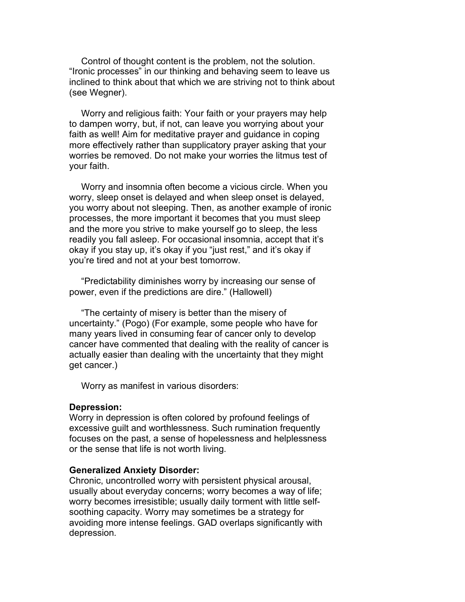Control of thought content is the problem, not the solution. "Ironic processes" in our thinking and behaving seem to leave us inclined to think about that which we are striving not to think about (see Wegner).

 Worry and religious faith: Your faith or your prayers may help to dampen worry, but, if not, can leave you worrying about your faith as well! Aim for meditative prayer and guidance in coping more effectively rather than supplicatory prayer asking that your worries be removed. Do not make your worries the litmus test of your faith.

 Worry and insomnia often become a vicious circle. When you worry, sleep onset is delayed and when sleep onset is delayed, you worry about not sleeping. Then, as another example of ironic processes, the more important it becomes that you must sleep and the more you strive to make yourself go to sleep, the less readily you fall asleep. For occasional insomnia, accept that it's okay if you stay up, it's okay if you "just rest," and it's okay if you're tired and not at your best tomorrow.

 "Predictability diminishes worry by increasing our sense of power, even if the predictions are dire." (Hallowell)

 "The certainty of misery is better than the misery of uncertainty." (Pogo) (For example, some people who have for many years lived in consuming fear of cancer only to develop cancer have commented that dealing with the reality of cancer is actually easier than dealing with the uncertainty that they might get cancer.)

Worry as manifest in various disorders:

#### **Depression:**

Worry in depression is often colored by profound feelings of excessive guilt and worthlessness. Such rumination frequently focuses on the past, a sense of hopelessness and helplessness or the sense that life is not worth living.

#### **Generalized Anxiety Disorder:**

Chronic, uncontrolled worry with persistent physical arousal, usually about everyday concerns; worry becomes a way of life; worry becomes irresistible; usually daily torment with little selfsoothing capacity. Worry may sometimes be a strategy for avoiding more intense feelings. GAD overlaps significantly with depression.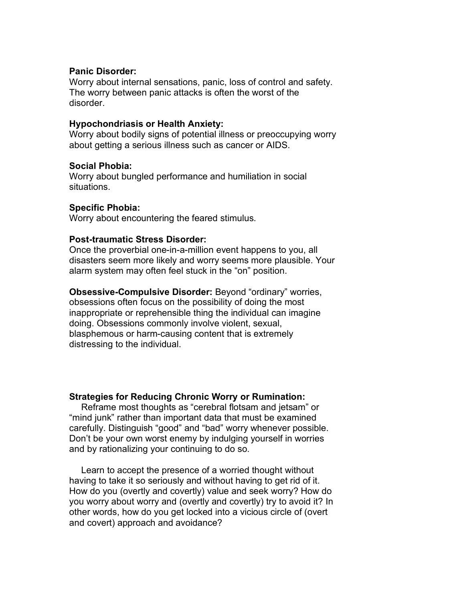## **Panic Disorder:**

Worry about internal sensations, panic, loss of control and safety. The worry between panic attacks is often the worst of the disorder.

## **Hypochondriasis or Health Anxiety:**

Worry about bodily signs of potential illness or preoccupying worry about getting a serious illness such as cancer or AIDS.

## **Social Phobia:**

Worry about bungled performance and humiliation in social situations.

# **Specific Phobia:**

Worry about encountering the feared stimulus.

# **Post-traumatic Stress Disorder:**

Once the proverbial one-in-a-million event happens to you, all disasters seem more likely and worry seems more plausible. Your alarm system may often feel stuck in the "on" position.

**Obsessive-Compulsive Disorder:** Beyond "ordinary" worries, obsessions often focus on the possibility of doing the most inappropriate or reprehensible thing the individual can imagine doing. Obsessions commonly involve violent, sexual, blasphemous or harm-causing content that is extremely distressing to the individual.

# **Strategies for Reducing Chronic Worry or Rumination:**

 Reframe most thoughts as "cerebral flotsam and jetsam" or "mind junk" rather than important data that must be examined carefully. Distinguish "good" and "bad" worry whenever possible. Don't be your own worst enemy by indulging yourself in worries and by rationalizing your continuing to do so.

 Learn to accept the presence of a worried thought without having to take it so seriously and without having to get rid of it. How do you (overtly and covertly) value and seek worry? How do you worry about worry and (overtly and covertly) try to avoid it? In other words, how do you get locked into a vicious circle of (overt and covert) approach and avoidance?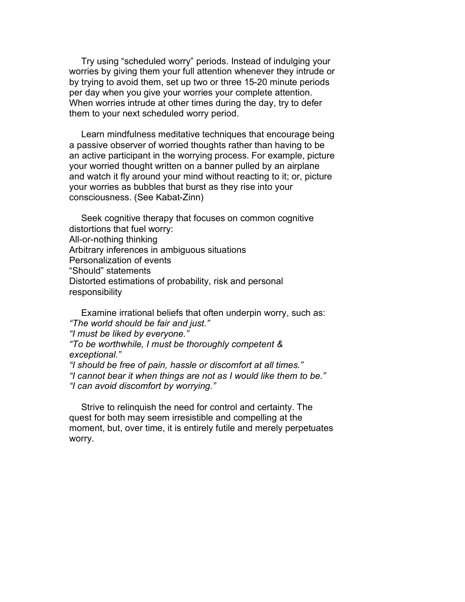Try using "scheduled worry" periods. Instead of indulging your worries by giving them your full attention whenever they intrude or by trying to avoid them, set up two or three 15-20 minute periods per day when you give your worries your complete attention. When worries intrude at other times during the day, try to defer them to your next scheduled worry period.

 Learn mindfulness meditative techniques that encourage being a passive observer of worried thoughts rather than having to be an active participant in the worrying process. For example, picture your worried thought written on a banner pulled by an airplane and watch it fly around your mind without reacting to it; or, picture your worries as bubbles that burst as they rise into your consciousness. (See Kabat-Zinn)

 Seek cognitive therapy that focuses on common cognitive distortions that fuel worry: All-or-nothing thinking Arbitrary inferences in ambiguous situations Personalization of events "Should" statements Distorted estimations of probability, risk and personal responsibility

 Examine irrational beliefs that often underpin worry, such as: *"The world should be fair and just." "I must be liked by everyone." "To be worthwhile, I must be thoroughly competent & exceptional." "I should be free of pain, hassle or discomfort at all times." "I cannot bear it when things are not as I would like them to be." "I can avoid discomfort by worrying."*

 Strive to relinquish the need for control and certainty. The quest for both may seem irresistible and compelling at the moment, but, over time, it is entirely futile and merely perpetuates worry.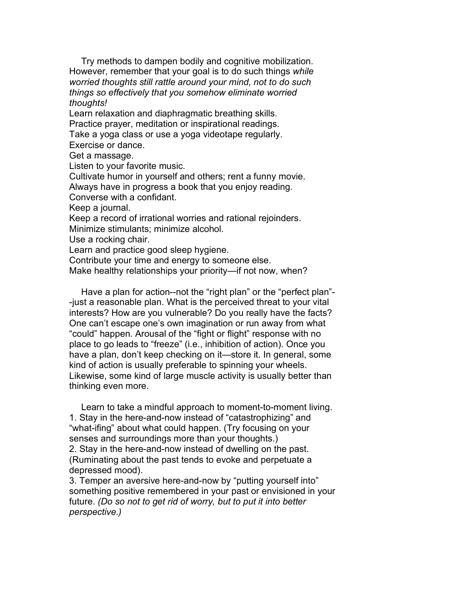Try methods to dampen bodily and cognitive mobilization. However, remember that your goal is to do such things *while worried thoughts still rattle around your mind, not to do such things so effectively that you somehow eliminate worried thoughts!*

Learn relaxation and diaphragmatic breathing skills. Practice prayer, meditation or inspirational readings. Take a yoga class or use a yoga videotape regularly.

Exercise or dance.

Get a massage.

Listen to your favorite music.

Cultivate humor in yourself and others; rent a funny movie.

Always have in progress a book that you enjoy reading.

Converse with a confidant.

Keep a journal.

Keep a record of irrational worries and rational rejoinders.

Minimize stimulants; minimize alcohol.

Use a rocking chair.

Learn and practice good sleep hygiene.

Contribute your time and energy to someone else.

Make healthy relationships your priority—if not now, when?

Have a plan for action--not the "right plan" or the "perfect plan"--just a reasonable plan. What is the perceived threat to your vital interests? How are you vulnerable? Do you really have the facts? One can't escape one's own imagination or run away from what "could" happen. Arousal of the "fight or flight" response with no place to go leads to "freeze" (i.e., inhibition of action). Once you have a plan, don't keep checking on it—store it. In general, some kind of action is usually preferable to spinning your wheels. Likewise, some kind of large muscle activity is usually better than thinking even more.

 Learn to take a mindful approach to moment-to-moment living. 1. Stay in the here-and-now instead of "catastrophizing" and "what-ifing" about what could happen. (Try focusing on your senses and surroundings more than your thoughts.) 2. Stay in the here-and-now instead of dwelling on the past. (Ruminating about the past tends to evoke and perpetuate a depressed mood).

3. Temper an aversive here-and-now by "putting yourself into" something positive remembered in your past or envisioned in your future. *(Do so not to get rid of worry, but to put it into better perspective.)*